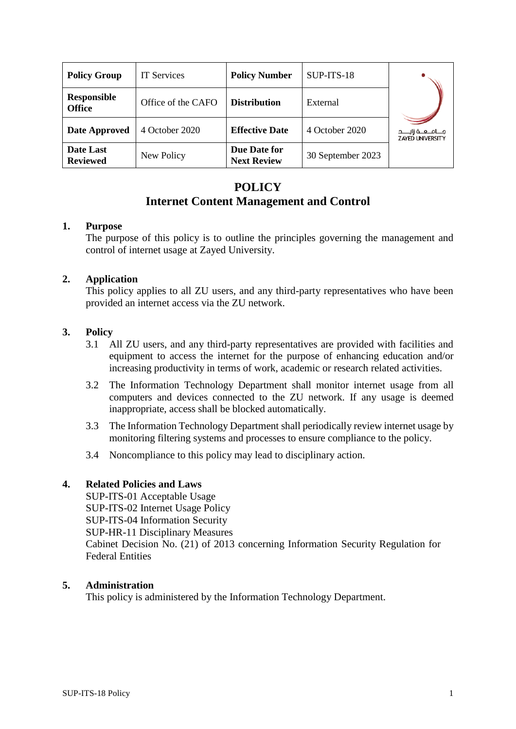| <b>Policy Group</b>                 | <b>IT Services</b> | <b>Policy Number</b>               | SUP-ITS-18        |                                                     |
|-------------------------------------|--------------------|------------------------------------|-------------------|-----------------------------------------------------|
| <b>Responsible</b><br><b>Office</b> | Office of the CAFO | <b>Distribution</b>                | External          |                                                     |
| <b>Date Approved</b>                | 4 October 2020     | <b>Effective Date</b>              | 4 October 2020    | مـــامـــعـــة زايـــــد<br><b>ZAYED UNIVERSITY</b> |
| Date Last<br><b>Reviewed</b>        | New Policy         | Due Date for<br><b>Next Review</b> | 30 September 2023 |                                                     |

## **POLICY Internet Content Management and Control**

### **1. Purpose**

The purpose of this policy is to outline the principles governing the management and control of internet usage at Zayed University.

### **2. Application**

This policy applies to all ZU users, and any third-party representatives who have been provided an internet access via the ZU network.

### **3. Policy**

- 3.1 All ZU users, and any third-party representatives are provided with facilities and equipment to access the internet for the purpose of enhancing education and/or increasing productivity in terms of work, academic or research related activities.
- 3.2 The Information Technology Department shall monitor internet usage from all computers and devices connected to the ZU network. If any usage is deemed inappropriate, access shall be blocked automatically.
- 3.3 The Information Technology Department shall periodically review internet usage by monitoring filtering systems and processes to ensure compliance to the policy.
- 3.4 Noncompliance to this policy may lead to disciplinary action.

### **4. Related Policies and Laws**

SUP-ITS-01 Acceptable Usage SUP-ITS-02 Internet Usage Policy SUP-ITS-04 Information Security SUP-HR-11 Disciplinary Measures Cabinet Decision No. (21) of 2013 concerning Information Security Regulation for Federal Entities

#### **5. Administration**

This policy is administered by the Information Technology Department.